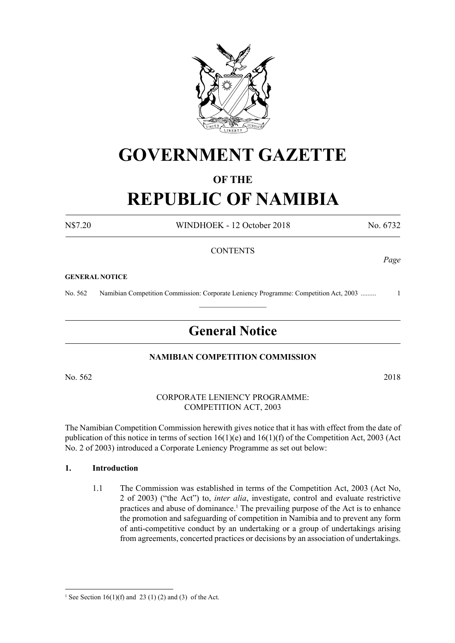

# **GOVERNMENT GAZETTE**

# **OF THE**

# **REPUBLIC OF NAMIBIA**

N\$7.20 WINDHOEK - 12 October 2018 No. 6732

*Page*

# **CONTENTS**

#### **GENERAL NOTICE**

No. 562 Namibian Competition Commission: Corporate Leniency Programme: Competition Act, 2003 ......... 1  $\frac{1}{2}$ 

# **General Notice**

#### **NAMIBIAN COMPETITION COMMISSION**

No. 562 2018

#### CORPORATE LENIENCY PROGRAMME: Competition Act, 2003

The Namibian Competition Commission herewith gives notice that it has with effect from the date of publication of this notice in terms of section 16(1)(e) and 16(1)(f) of the Competition Act, 2003 (Act No. 2 of 2003) introduced a Corporate Leniency Programme as set out below:

#### **1. Introduction**

1.1 The Commission was established in terms of the Competition Act, 2003 (Act No, 2 of 2003) ("the Act") to, *inter alia*, investigate, control and evaluate restrictive practices and abuse of dominance.1 The prevailing purpose of the Act is to enhance the promotion and safeguarding of competition in Namibia and to prevent any form of anti-competitive conduct by an undertaking or a group of undertakings arising from agreements, concerted practices or decisions by an association of undertakings.

<sup>&</sup>lt;sup>1</sup> See Section 16(1)(f) and 23 (1) (2) and (3) of the Act.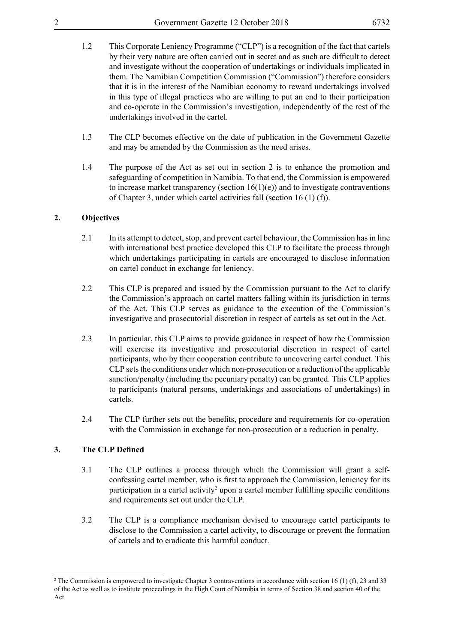- 
- 1.2 This Corporate Leniency Programme ("CLP") is a recognition of the fact that cartels by their very nature are often carried out in secret and as such are difficult to detect and investigate without the cooperation of undertakings or individuals implicated in them. The Namibian Competition Commission ("Commission") therefore considers that it is in the interest of the Namibian economy to reward undertakings involved in this type of illegal practices who are willing to put an end to their participation and co-operate in the Commission's investigation, independently of the rest of the undertakings involved in the cartel.
- 1.3 The CLP becomes effective on the date of publication in the Government Gazette and may be amended by the Commission as the need arises.
- 1.4 The purpose of the Act as set out in section 2 is to enhance the promotion and safeguarding of competition in Namibia. To that end, the Commission is empowered to increase market transparency (section  $16(1)(e)$ ) and to investigate contraventions of Chapter 3, under which cartel activities fall (section 16 (1) (f)).

# **2. Objectives**

- 2.1 In its attempt to detect, stop, and prevent cartel behaviour, the Commission has in line with international best practice developed this CLP to facilitate the process through which undertakings participating in cartels are encouraged to disclose information on cartel conduct in exchange for leniency.
- 2.2 This CLP is prepared and issued by the Commission pursuant to the Act to clarify the Commission's approach on cartel matters falling within its jurisdiction in terms of the Act. This CLP serves as guidance to the execution of the Commission's investigative and prosecutorial discretion in respect of cartels as set out in the Act.
- 2.3 In particular, this CLP aims to provide guidance in respect of how the Commission will exercise its investigative and prosecutorial discretion in respect of cartel participants, who by their cooperation contribute to uncovering cartel conduct. This CLP sets the conditions under which non-prosecution or a reduction of the applicable sanction/penalty (including the pecuniary penalty) can be granted. This CLP applies to participants (natural persons, undertakings and associations of undertakings) in cartels.
- 2.4 The CLP further sets out the benefits, procedure and requirements for co-operation with the Commission in exchange for non-prosecution or a reduction in penalty.

# **3. The CLP Defined**

- 3.1 The CLP outlines a process through which the Commission will grant a selfconfessing cartel member, who is first to approach the Commission, leniency for its participation in a cartel activity<sup>2</sup> upon a cartel member fulfilling specific conditions and requirements set out under the CLP.
- 3.2 The CLP is a compliance mechanism devised to encourage cartel participants to disclose to the Commission a cartel activity, to discourage or prevent the formation of cartels and to eradicate this harmful conduct.

<sup>2</sup> The Commission is empowered to investigate Chapter 3 contraventions in accordance with section 16 (1) (f), 23 and 33 of the Act as well as to institute proceedings in the High Court of Namibia in terms of Section 38 and section 40 of the Act.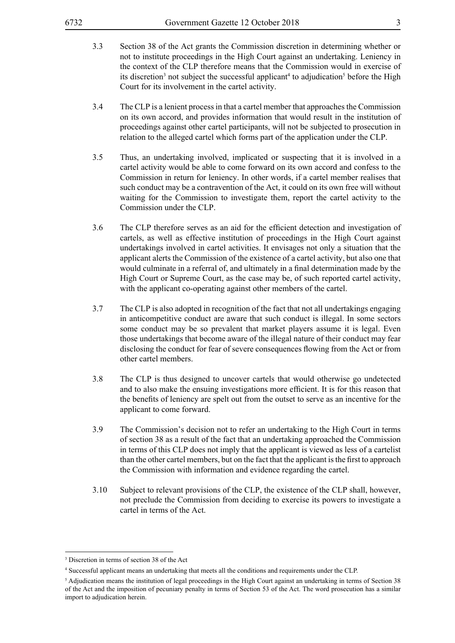- 3.3 Section 38 of the Act grants the Commission discretion in determining whether or not to institute proceedings in the High Court against an undertaking. Leniency in the context of the CLP therefore means that the Commission would in exercise of its discretion<sup>3</sup> not subject the successful applicant<sup>4</sup> to adjudication<sup>5</sup> before the High Court for its involvement in the cartel activity.
- 3.4 The CLP is a lenient process in that a cartel member that approaches the Commission on its own accord, and provides information that would result in the institution of proceedings against other cartel participants, will not be subjected to prosecution in relation to the alleged cartel which forms part of the application under the CLP.
- 3.5 Thus, an undertaking involved, implicated or suspecting that it is involved in a cartel activity would be able to come forward on its own accord and confess to the Commission in return for leniency. In other words, if a cartel member realises that such conduct may be a contravention of the Act, it could on its own free will without waiting for the Commission to investigate them, report the cartel activity to the Commission under the CLP.
- 3.6 The CLP therefore serves as an aid for the efficient detection and investigation of cartels, as well as effective institution of proceedings in the High Court against undertakings involved in cartel activities. It envisages not only a situation that the applicant alerts the Commission of the existence of a cartel activity, but also one that would culminate in a referral of, and ultimately in a final determination made by the High Court or Supreme Court, as the case may be, of such reported cartel activity, with the applicant co-operating against other members of the cartel.
- 3.7 The CLP is also adopted in recognition of the fact that not all undertakings engaging in anticompetitive conduct are aware that such conduct is illegal. In some sectors some conduct may be so prevalent that market players assume it is legal. Even those undertakings that become aware of the illegal nature of their conduct may fear disclosing the conduct for fear of severe consequences flowing from the Act or from other cartel members.
- 3.8 The CLP is thus designed to uncover cartels that would otherwise go undetected and to also make the ensuing investigations more efficient. It is for this reason that the benefits of leniency are spelt out from the outset to serve as an incentive for the applicant to come forward.
- 3.9 The Commission's decision not to refer an undertaking to the High Court in terms of section 38 as a result of the fact that an undertaking approached the Commission in terms of this CLP does not imply that the applicant is viewed as less of a cartelist than the other cartel members, but on the fact that the applicant is the first to approach the Commission with information and evidence regarding the cartel.
- 3.10 Subject to relevant provisions of the CLP, the existence of the CLP shall, however, not preclude the Commission from deciding to exercise its powers to investigate a cartel in terms of the Act.

<sup>3</sup> Discretion in terms of section 38 of the Act

<sup>4</sup> Successful applicant means an undertaking that meets all the conditions and requirements under the CLP.

<sup>5</sup> Adjudication means the institution of legal proceedings in the High Court against an undertaking in terms of Section 38 of the Act and the imposition of pecuniary penalty in terms of Section 53 of the Act. The word prosecution has a similar import to adjudication herein.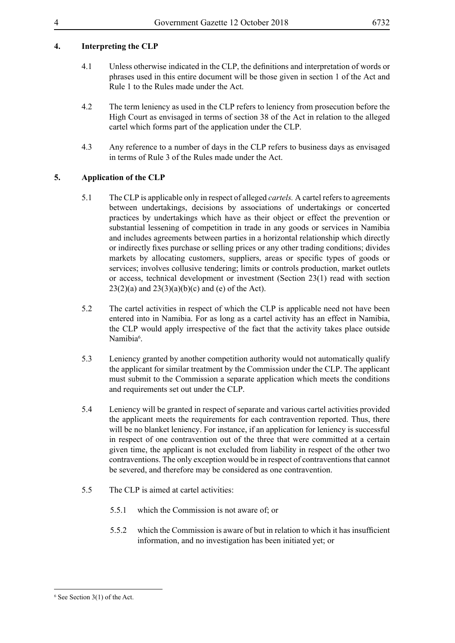# **4. Interpreting the CLP**

- 4.1 Unless otherwise indicated in the CLP, the definitions and interpretation of words or phrases used in this entire document will be those given in section 1 of the Act and Rule 1 to the Rules made under the Act.
- 4.2 The term leniency as used in the CLP refers to leniency from prosecution before the High Court as envisaged in terms of section 38 of the Act in relation to the alleged cartel which forms part of the application under the CLP.
- 4.3 Any reference to a number of days in the CLP refers to business days as envisaged in terms of Rule 3 of the Rules made under the Act.

# **5. Application of the CLP**

- 5.1 The CLP is applicable only in respect of alleged *cartels.* A cartel refers to agreements between undertakings, decisions by associations of undertakings or concerted practices by undertakings which have as their object or effect the prevention or substantial lessening of competition in trade in any goods or services in Namibia and includes agreements between parties in a horizontal relationship which directly or indirectly fixes purchase or selling prices or any other trading conditions; divides markets by allocating customers, suppliers, areas or specific types of goods or services; involves collusive tendering; limits or controls production, market outlets or access, technical development or investment (Section 23(1) read with section  $23(2)(a)$  and  $23(3)(a)(b)(c)$  and (e) of the Act).
- 5.2 The cartel activities in respect of which the CLP is applicable need not have been entered into in Namibia. For as long as a cartel activity has an effect in Namibia, the CLP would apply irrespective of the fact that the activity takes place outside Namibia<sup>6</sup>.
- 5.3 Leniency granted by another competition authority would not automatically qualify the applicant for similar treatment by the Commission under the CLP. The applicant must submit to the Commission a separate application which meets the conditions and requirements set out under the CLP.
- 5.4 Leniency will be granted in respect of separate and various cartel activities provided the applicant meets the requirements for each contravention reported. Thus, there will be no blanket leniency. For instance, if an application for leniency is successful in respect of one contravention out of the three that were committed at a certain given time, the applicant is not excluded from liability in respect of the other two contraventions. The only exception would be in respect of contraventions that cannot be severed, and therefore may be considered as one contravention.
- 5.5 The CLP is aimed at cartel activities:
	- 5.5.1 which the Commission is not aware of; or
	- 5.5.2 which the Commission is aware of but in relation to which it has insufficient information, and no investigation has been initiated yet; or

<sup>6</sup> See Section 3(1) of the Act.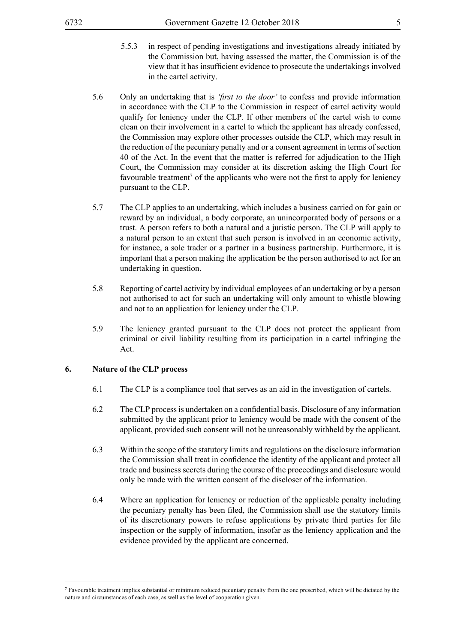- 5.5.3 in respect of pending investigations and investigations already initiated by the Commission but, having assessed the matter, the Commission is of the view that it has insufficient evidence to prosecute the undertakings involved in the cartel activity.
- 5.6 Only an undertaking that is *'first to the door'* to confess and provide information in accordance with the CLP to the Commission in respect of cartel activity would qualify for leniency under the CLP. If other members of the cartel wish to come clean on their involvement in a cartel to which the applicant has already confessed, the Commission may explore other processes outside the CLP, which may result in the reduction of the pecuniary penalty and or a consent agreement in terms of section 40 of the Act. In the event that the matter is referred for adjudication to the High Court, the Commission may consider at its discretion asking the High Court for favourable treatment<sup>7</sup> of the applicants who were not the first to apply for leniency pursuant to the CLP.
- 5.7 The CLP applies to an undertaking, which includes a business carried on for gain or reward by an individual, a body corporate, an unincorporated body of persons or a trust. A person refers to both a natural and a juristic person. The CLP will apply to a natural person to an extent that such person is involved in an economic activity, for instance, a sole trader or a partner in a business partnership. Furthermore, it is important that a person making the application be the person authorised to act for an undertaking in question.
- 5.8 Reporting of cartel activity by individual employees of an undertaking or by a person not authorised to act for such an undertaking will only amount to whistle blowing and not to an application for leniency under the CLP.
- 5.9 The leniency granted pursuant to the CLP does not protect the applicant from criminal or civil liability resulting from its participation in a cartel infringing the Act.

#### **6. Nature of the CLP process**

- 6.1 The CLP is a compliance tool that serves as an aid in the investigation of cartels.
- 6.2 The CLP process is undertaken on a confidential basis. Disclosure of any information submitted by the applicant prior to leniency would be made with the consent of the applicant, provided such consent will not be unreasonably withheld by the applicant.
- 6.3 Within the scope of the statutory limits and regulations on the disclosure information the Commission shall treat in confidence the identity of the applicant and protect all trade and business secrets during the course of the proceedings and disclosure would only be made with the written consent of the discloser of the information.
- 6.4 Where an application for leniency or reduction of the applicable penalty including the pecuniary penalty has been filed, the Commission shall use the statutory limits of its discretionary powers to refuse applications by private third parties for file inspection or the supply of information, insofar as the leniency application and the evidence provided by the applicant are concerned.

<sup>7</sup> Favourable treatment implies substantial or minimum reduced pecuniary penalty from the one prescribed, which will be dictated by the nature and circumstances of each case, as well as the level of cooperation given.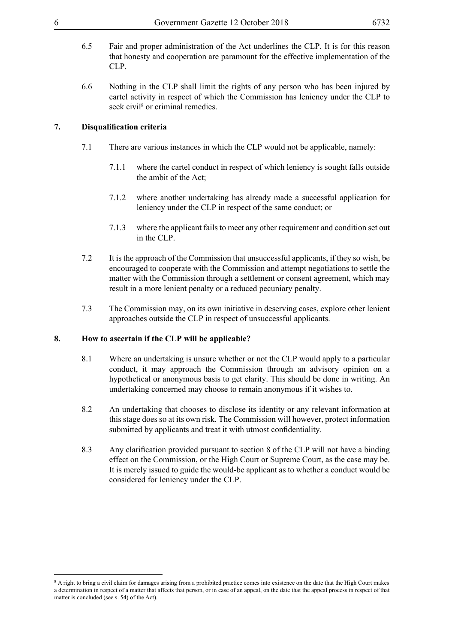- 6.5 Fair and proper administration of the Act underlines the CLP. It is for this reason that honesty and cooperation are paramount for the effective implementation of the CLP.
- 6.6 Nothing in the CLP shall limit the rights of any person who has been injured by cartel activity in respect of which the Commission has leniency under the CLP to seek civil<sup>8</sup> or criminal remedies.

#### **7. Disqualification criteria**

- 7.1 There are various instances in which the CLP would not be applicable, namely:
	- 7.1.1 where the cartel conduct in respect of which leniency is sought falls outside the ambit of the Act;
	- 7.1.2 where another undertaking has already made a successful application for leniency under the CLP in respect of the same conduct; or
	- 7.1.3 where the applicant fails to meet any other requirement and condition set out in the CLP.
- 7.2 It is the approach of the Commission that unsuccessful applicants, if they so wish, be encouraged to cooperate with the Commission and attempt negotiations to settle the matter with the Commission through a settlement or consent agreement, which may result in a more lenient penalty or a reduced pecuniary penalty.
- 7.3 The Commission may, on its own initiative in deserving cases, explore other lenient approaches outside the CLP in respect of unsuccessful applicants.

#### **8. How to ascertain if the CLP will be applicable?**

- 8.1 Where an undertaking is unsure whether or not the CLP would apply to a particular conduct, it may approach the Commission through an advisory opinion on a hypothetical or anonymous basis to get clarity. This should be done in writing. An undertaking concerned may choose to remain anonymous if it wishes to.
- 8.2 An undertaking that chooses to disclose its identity or any relevant information at this stage does so at its own risk. The Commission will however, protect information submitted by applicants and treat it with utmost confidentiality.
- 8.3 Any clarification provided pursuant to section 8 of the CLP will not have a binding effect on the Commission, or the High Court or Supreme Court, as the case may be. It is merely issued to guide the would-be applicant as to whether a conduct would be considered for leniency under the CLP.

<sup>&</sup>lt;sup>8</sup> A right to bring a civil claim for damages arising from a prohibited practice comes into existence on the date that the High Court makes a determination in respect of a matter that affects that person, or in case of an appeal, on the date that the appeal process in respect of that matter is concluded (see s. 54) of the Act).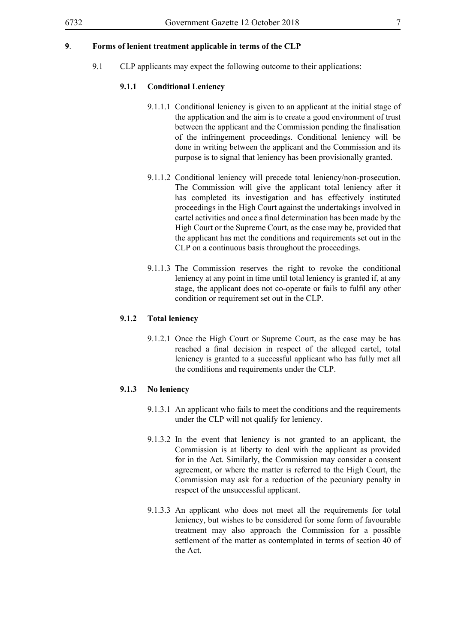# **9**. **Forms of lenient treatment applicable in terms of the CLP**

9.1 CLP applicants may expect the following outcome to their applications:

#### **9.1.1 Conditional Leniency**

- 9.1.1.1 Conditional leniency is given to an applicant at the initial stage of the application and the aim is to create a good environment of trust between the applicant and the Commission pending the finalisation of the infringement proceedings. Conditional leniency will be done in writing between the applicant and the Commission and its purpose is to signal that leniency has been provisionally granted.
- 9.1.1.2 Conditional leniency will precede total leniency/non-prosecution. The Commission will give the applicant total leniency after it has completed its investigation and has effectively instituted proceedings in the High Court against the undertakings involved in cartel activities and once a final determination has been made by the High Court or the Supreme Court, as the case may be, provided that the applicant has met the conditions and requirements set out in the CLP on a continuous basis throughout the proceedings.
- 9.1.1.3 The Commission reserves the right to revoke the conditional leniency at any point in time until total leniency is granted if, at any stage, the applicant does not co-operate or fails to fulfil any other condition or requirement set out in the CLP.

#### **9.1.2 Total leniency**

9.1.2.1 Once the High Court or Supreme Court, as the case may be has reached a final decision in respect of the alleged cartel, total leniency is granted to a successful applicant who has fully met all the conditions and requirements under the CLP.

#### **9.1.3 No leniency**

- 9.1.3.1 An applicant who fails to meet the conditions and the requirements under the CLP will not qualify for leniency.
- 9.1.3.2 In the event that leniency is not granted to an applicant, the Commission is at liberty to deal with the applicant as provided for in the Act. Similarly, the Commission may consider a consent agreement, or where the matter is referred to the High Court, the Commission may ask for a reduction of the pecuniary penalty in respect of the unsuccessful applicant.
- 9.1.3.3 An applicant who does not meet all the requirements for total leniency, but wishes to be considered for some form of favourable treatment may also approach the Commission for a possible settlement of the matter as contemplated in terms of section 40 of the Act.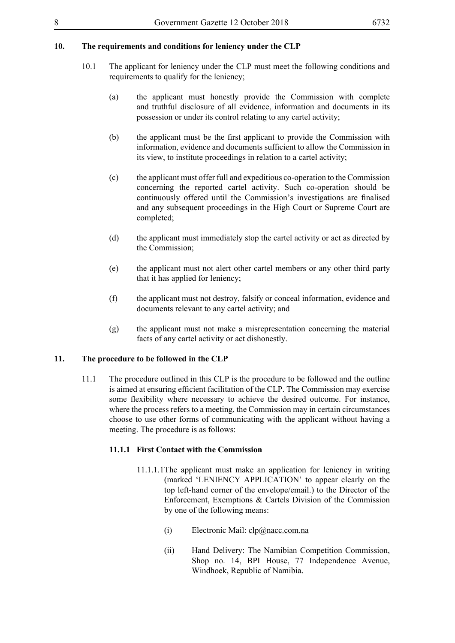### **10. The requirements and conditions for leniency under the CLP**

- 10.1 The applicant for leniency under the CLP must meet the following conditions and requirements to qualify for the leniency;
	- (a) the applicant must honestly provide the Commission with complete and truthful disclosure of all evidence, information and documents in its possession or under its control relating to any cartel activity;
	- (b) the applicant must be the first applicant to provide the Commission with information, evidence and documents sufficient to allow the Commission in its view, to institute proceedings in relation to a cartel activity;
	- (c) the applicant must offer full and expeditious co-operation to the Commission concerning the reported cartel activity. Such co-operation should be continuously offered until the Commission's investigations are finalised and any subsequent proceedings in the High Court or Supreme Court are completed;
	- (d) the applicant must immediately stop the cartel activity or act as directed by the Commission;
	- (e) the applicant must not alert other cartel members or any other third party that it has applied for leniency;
	- (f) the applicant must not destroy, falsify or conceal information, evidence and documents relevant to any cartel activity; and
	- (g) the applicant must not make a misrepresentation concerning the material facts of any cartel activity or act dishonestly.

#### **11. The procedure to be followed in the CLP**

11.1 The procedure outlined in this CLP is the procedure to be followed and the outline is aimed at ensuring efficient facilitation of the CLP. The Commission may exercise some flexibility where necessary to achieve the desired outcome. For instance, where the process refers to a meeting, the Commission may in certain circumstances choose to use other forms of communicating with the applicant without having a meeting. The procedure is as follows:

#### **11.1.1 First Contact with the Commission**

- 11.1.1.1The applicant must make an application for leniency in writing (marked 'LENIENCY APPLICATION' to appear clearly on the top left-hand corner of the envelope/email.) to the Director of the Enforcement, Exemptions & Cartels Division of the Commission by one of the following means:
	- (i) Electronic Mail: clp@nacc.com.na
	- (ii) Hand Delivery: The Namibian Competition Commission, Shop no. 14, BPI House, 77 Independence Avenue, Windhoek, Republic of Namibia.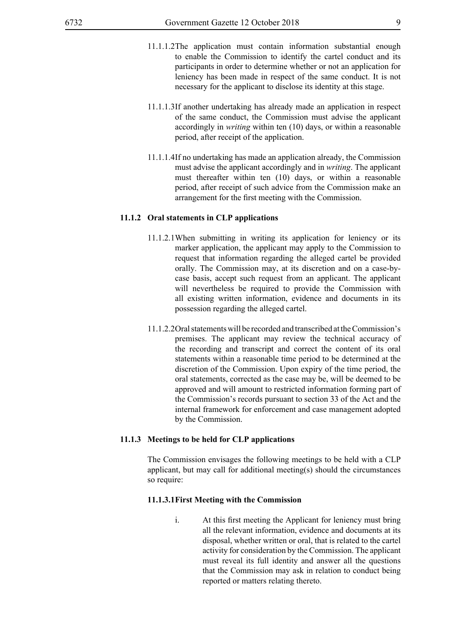- 11.1.1.2The application must contain information substantial enough to enable the Commission to identify the cartel conduct and its participants in order to determine whether or not an application for leniency has been made in respect of the same conduct. It is not necessary for the applicant to disclose its identity at this stage.
- 11.1.1.3If another undertaking has already made an application in respect of the same conduct, the Commission must advise the applicant accordingly in *writing* within ten (10) days, or within a reasonable period, after receipt of the application.
- 11.1.1.4If no undertaking has made an application already, the Commission must advise the applicant accordingly and in *writing*. The applicant must thereafter within ten (10) days, or within a reasonable period, after receipt of such advice from the Commission make an arrangement for the first meeting with the Commission.

#### **11.1.2 Oral statements in CLP applications**

- 11.1.2.1When submitting in writing its application for leniency or its marker application, the applicant may apply to the Commission to request that information regarding the alleged cartel be provided orally. The Commission may, at its discretion and on a case-bycase basis, accept such request from an applicant. The applicant will nevertheless be required to provide the Commission with all existing written information, evidence and documents in its possession regarding the alleged cartel.
- 11.1.2.2Oral statements will be recorded and transcribed at the Commission's premises. The applicant may review the technical accuracy of the recording and transcript and correct the content of its oral statements within a reasonable time period to be determined at the discretion of the Commission. Upon expiry of the time period, the oral statements, corrected as the case may be, will be deemed to be approved and will amount to restricted information forming part of the Commission's records pursuant to section 33 of the Act and the internal framework for enforcement and case management adopted by the Commission.

#### **11.1.3 Meetings to be held for CLP applications**

The Commission envisages the following meetings to be held with a CLP applicant, but may call for additional meeting(s) should the circumstances so require:

#### **11.1.3.1First Meeting with the Commission**

i. At this first meeting the Applicant for leniency must bring all the relevant information, evidence and documents at its disposal, whether written or oral, that is related to the cartel activity for consideration by the Commission. The applicant must reveal its full identity and answer all the questions that the Commission may ask in relation to conduct being reported or matters relating thereto.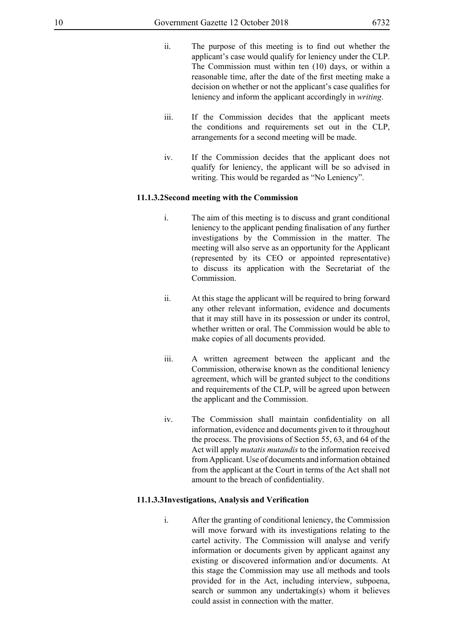- ii. The purpose of this meeting is to find out whether the applicant's case would qualify for leniency under the CLP. The Commission must within ten (10) days, or within a reasonable time, after the date of the first meeting make a decision on whether or not the applicant's case qualifies for leniency and inform the applicant accordingly in *writing*.
- iii. If the Commission decides that the applicant meets the conditions and requirements set out in the CLP, arrangements for a second meeting will be made.
- iv. If the Commission decides that the applicant does not qualify for leniency, the applicant will be so advised in writing. This would be regarded as "No Leniency".

#### **11.1.3.2Second meeting with the Commission**

- i. The aim of this meeting is to discuss and grant conditional leniency to the applicant pending finalisation of any further investigations by the Commission in the matter. The meeting will also serve as an opportunity for the Applicant (represented by its CEO or appointed representative) to discuss its application with the Secretariat of the Commission.
- ii. At this stage the applicant will be required to bring forward any other relevant information, evidence and documents that it may still have in its possession or under its control, whether written or oral. The Commission would be able to make copies of all documents provided.
- iii. A written agreement between the applicant and the Commission, otherwise known as the conditional leniency agreement, which will be granted subject to the conditions and requirements of the CLP, will be agreed upon between the applicant and the Commission.
- iv. The Commission shall maintain confidentiality on all information, evidence and documents given to it throughout the process. The provisions of Section 55, 63, and 64 of the Act will apply *mutatis mutandis* to the information received from Applicant. Use of documents and information obtained from the applicant at the Court in terms of the Act shall not amount to the breach of confidentiality.

### **11.1.3.3Investigations, Analysis and Verification**

i. After the granting of conditional leniency, the Commission will move forward with its investigations relating to the cartel activity. The Commission will analyse and verify information or documents given by applicant against any existing or discovered information and/or documents. At this stage the Commission may use all methods and tools provided for in the Act, including interview, subpoena, search or summon any undertaking(s) whom it believes could assist in connection with the matter.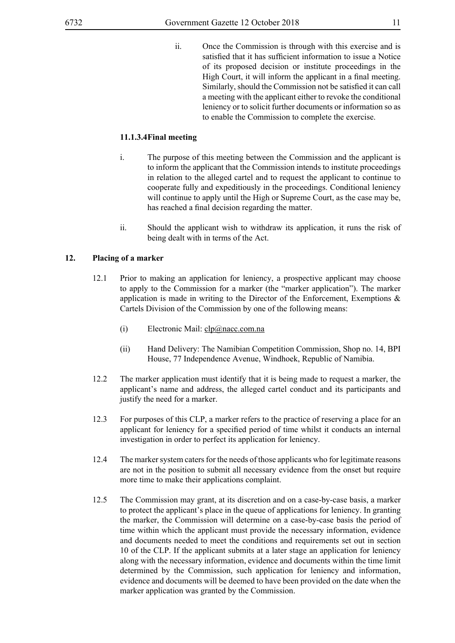ii. Once the Commission is through with this exercise and is satisfied that it has sufficient information to issue a Notice of its proposed decision or institute proceedings in the High Court, it will inform the applicant in a final meeting. Similarly, should the Commission not be satisfied it can call a meeting with the applicant either to revoke the conditional leniency or to solicit further documents or information so as to enable the Commission to complete the exercise.

# **11.1.3.4Final meeting**

- i. The purpose of this meeting between the Commission and the applicant is to inform the applicant that the Commission intends to institute proceedings in relation to the alleged cartel and to request the applicant to continue to cooperate fully and expeditiously in the proceedings. Conditional leniency will continue to apply until the High or Supreme Court, as the case may be, has reached a final decision regarding the matter.
- ii. Should the applicant wish to withdraw its application, it runs the risk of being dealt with in terms of the Act.

# **12. Placing of a marker**

- 12.1 Prior to making an application for leniency, a prospective applicant may choose to apply to the Commission for a marker (the "marker application"). The marker application is made in writing to the Director of the Enforcement, Exemptions  $\&$ Cartels Division of the Commission by one of the following means:
	- (i) Electronic Mail: clp@nacc.com.na
	- (ii) Hand Delivery: The Namibian Competition Commission, Shop no. 14, BPI House, 77 Independence Avenue, Windhoek, Republic of Namibia.
- 12.2 The marker application must identify that it is being made to request a marker, the applicant's name and address, the alleged cartel conduct and its participants and justify the need for a marker.
- 12.3 For purposes of this CLP, a marker refers to the practice of reserving a place for an applicant for leniency for a specified period of time whilst it conducts an internal investigation in order to perfect its application for leniency.
- 12.4 The marker system caters for the needs of those applicants who for legitimate reasons are not in the position to submit all necessary evidence from the onset but require more time to make their applications complaint.
- 12.5 The Commission may grant, at its discretion and on a case-by-case basis, a marker to protect the applicant's place in the queue of applications for leniency. In granting the marker, the Commission will determine on a case-by-case basis the period of time within which the applicant must provide the necessary information, evidence and documents needed to meet the conditions and requirements set out in section 10 of the CLP. If the applicant submits at a later stage an application for leniency along with the necessary information, evidence and documents within the time limit determined by the Commission, such application for leniency and information, evidence and documents will be deemed to have been provided on the date when the marker application was granted by the Commission.